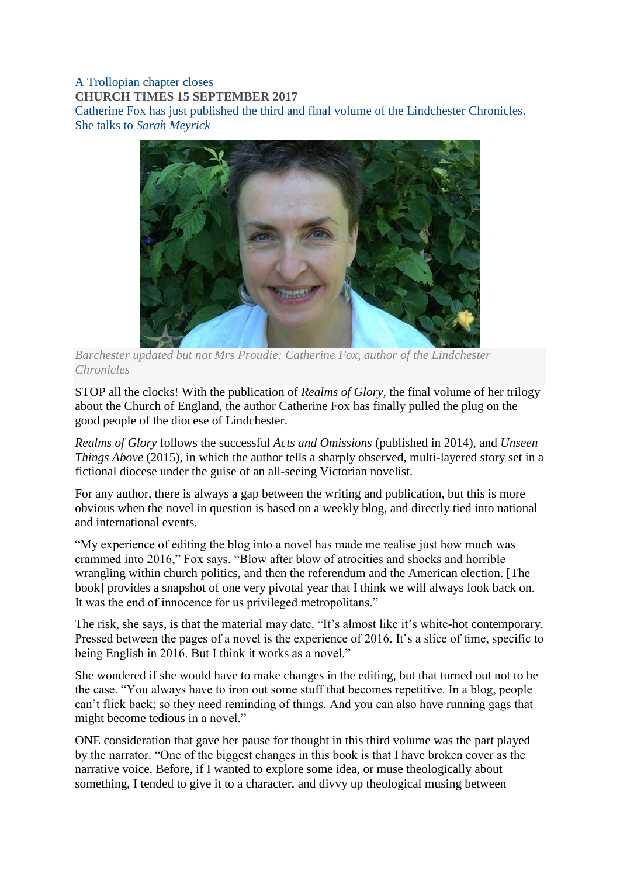## A Trollopian chapter closes **CHURCH TIMES 15 SEPTEMBER 2017** Catherine Fox has just published the third and final volume of the Lindchester Chronicles. She talks to *Sarah Meyrick*



*Barchester updated but not Mrs Proudie: Catherine Fox, author of the Lindchester Chronicles*

STOP all the clocks! With the publication of *Realms of Glory,* the final volume of her trilogy about the Church of England, the author Catherine Fox has finally pulled the plug on the good people of the diocese of Lindchester.

*Realms of Glory* follows the successful *Acts and Omissions* (published in 2014), and *Unseen Things Above* (2015), in which the author tells a sharply observed, multi-layered story set in a fictional diocese under the guise of an all-seeing Victorian novelist.

For any author, there is always a gap between the writing and publication, but this is more obvious when the novel in question is based on a weekly blog, and directly tied into national and international events.

"My experience of editing the blog into a novel has made me realise just how much was crammed into 2016," Fox says. "Blow after blow of atrocities and shocks and horrible wrangling within church politics, and then the referendum and the American election. [The book] provides a snapshot of one very pivotal year that I think we will always look back on. It was the end of innocence for us privileged metropolitans."

The risk, she says, is that the material may date. "It's almost like it's white-hot contemporary. Pressed between the pages of a novel is the experience of 2016. It's a slice of time, specific to being English in 2016. But I think it works as a novel."

She wondered if she would have to make changes in the editing, but that turned out not to be the case. "You always have to iron out some stuff that becomes repetitive. In a blog, people can't flick back; so they need reminding of things. And you can also have running gags that might become tedious in a novel."

ONE consideration that gave her pause for thought in this third volume was the part played by the narrator. "One of the biggest changes in this book is that I have broken cover as the narrative voice. Before, if I wanted to explore some idea, or muse theologically about something, I tended to give it to a character, and divvy up theological musing between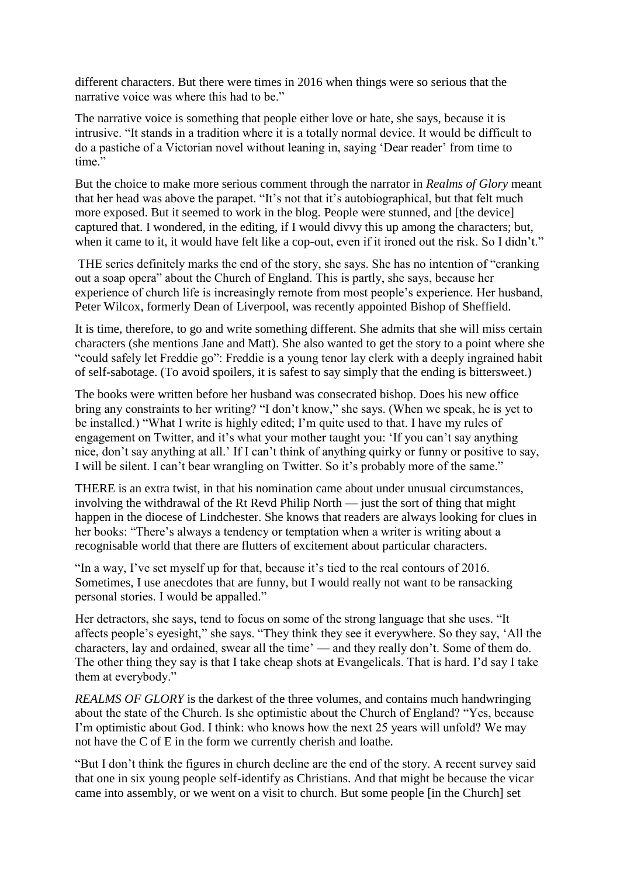different characters. But there were times in 2016 when things were so serious that the narrative voice was where this had to be."

The narrative voice is something that people either love or hate, she says, because it is intrusive. "It stands in a tradition where it is a totally normal device. It would be difficult to do a pastiche of a Victorian novel without leaning in, saying 'Dear reader' from time to time"

But the choice to make more serious comment through the narrator in *Realms of Glory* meant that her head was above the parapet. "It's not that it's autobiographical, but that felt much more exposed. But it seemed to work in the blog. People were stunned, and [the device] captured that. I wondered, in the editing, if I would divvy this up among the characters; but, when it came to it, it would have felt like a cop-out, even if it ironed out the risk. So I didn't."

THE series definitely marks the end of the story, she says. She has no intention of "cranking out a soap opera" about the Church of England. This is partly, she says, because her experience of church life is increasingly remote from most people's experience. Her husband, Peter Wilcox, formerly Dean of Liverpool, was recently appointed Bishop of Sheffield.

It is time, therefore, to go and write something different. She admits that she will miss certain characters (she mentions Jane and Matt). She also wanted to get the story to a point where she "could safely let Freddie go": Freddie is a young tenor lay clerk with a deeply ingrained habit of self-sabotage. (To avoid spoilers, it is safest to say simply that the ending is bittersweet.)

The books were written before her husband was consecrated bishop. Does his new office bring any constraints to her writing? "I don't know," she says. (When we speak, he is yet to be installed.) "What I write is highly edited; I'm quite used to that. I have my rules of engagement on Twitter, and it's what your mother taught you: 'If you can't say anything nice, don't say anything at all.' If I can't think of anything quirky or funny or positive to say, I will be silent. I can't bear wrangling on Twitter. So it's probably more of the same."

THERE is an extra twist, in that his nomination came about under unusual circumstances, involving the withdrawal of the Rt Revd Philip North — just the sort of thing that might happen in the diocese of Lindchester. She knows that readers are always looking for clues in her books: "There's always a tendency or temptation when a writer is writing about a recognisable world that there are flutters of excitement about particular characters.

"In a way, I've set myself up for that, because it's tied to the real contours of 2016. Sometimes, I use anecdotes that are funny, but I would really not want to be ransacking personal stories. I would be appalled."

Her detractors, she says, tend to focus on some of the strong language that she uses. "It affects people's eyesight," she says. "They think they see it everywhere. So they say, 'All the characters, lay and ordained, swear all the time' — and they really don't. Some of them do. The other thing they say is that I take cheap shots at Evangelicals. That is hard. I'd say I take them at everybody."

*REALMS OF GLORY* is the darkest of the three volumes, and contains much handwringing about the state of the Church. Is she optimistic about the Church of England? "Yes, because I'm optimistic about God. I think: who knows how the next 25 years will unfold? We may not have the C of E in the form we currently cherish and loathe.

"But I don't think the figures in church decline are the end of the story. A recent survey said that one in six young people self-identify as Christians. And that might be because the vicar came into assembly, or we went on a visit to church. But some people [in the Church] set